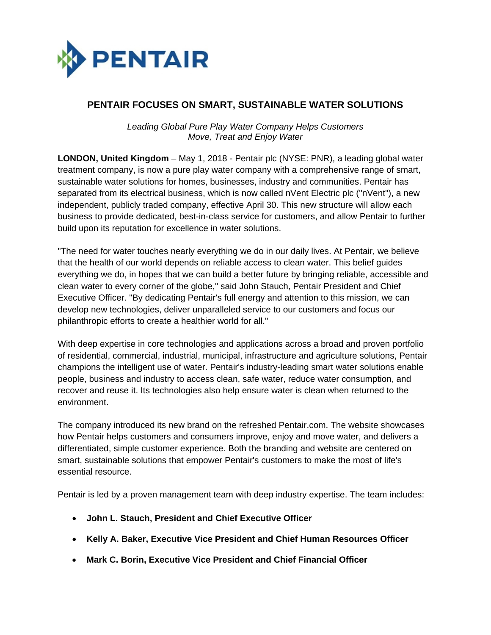

## **[PENTAIR FOCUSES ON SMART, SUSTAINABLE WATER SOLUTIONS](http://phx.corporate-ir.net/phoenix.zhtml?c=105908&p=irol-newsArticle&ID=2335087)**

*Leading Global Pure Play Water Company Helps Customers Move, Treat and Enjoy Water*

**LONDON, United Kingdom** – May 1, 2018 - Pentair plc (NYSE: PNR), a leading global water treatment company, is now a pure play water company with a comprehensive range of smart, sustainable water solutions for homes, businesses, industry and communities. Pentair has separated from its electrical business, which is now called nVent Electric plc ("nVent"), a new independent, publicly traded company, effective April 30. This new structure will allow each business to provide dedicated, best-in-class service for customers, and allow Pentair to further build upon its reputation for excellence in water solutions.

"The need for water touches nearly everything we do in our daily lives. At Pentair, we believe that the health of our world depends on reliable access to clean water. This belief guides everything we do, in hopes that we can build a better future by bringing reliable, accessible and clean water to every corner of the globe," said John Stauch, Pentair President and Chief Executive Officer. "By dedicating Pentair's full energy and attention to this mission, we can develop new technologies, deliver unparalleled service to our customers and focus our philanthropic efforts to create a healthier world for all."

With deep expertise in core technologies and applications across a broad and proven portfolio of residential, commercial, industrial, municipal, infrastructure and agriculture solutions, Pentair champions the intelligent use of water. Pentair's industry-leading smart water solutions enable people, business and industry to access clean, safe water, reduce water consumption, and recover and reuse it. Its technologies also help ensure water is clean when returned to the environment.

The company introduced its new brand on the refreshed Pentair.com. The website showcases how Pentair helps customers and consumers improve, enjoy and move water, and delivers a differentiated, simple customer experience. Both the branding and website are centered on smart, sustainable solutions that empower Pentair's customers to make the most of life's essential resource.

Pentair is led by a proven management team with deep industry expertise. The team includes:

- **John L. Stauch, President and Chief Executive Officer**
- **Kelly A. Baker, Executive Vice President and Chief Human Resources Officer**
- **Mark C. Borin, Executive Vice President and Chief Financial Officer**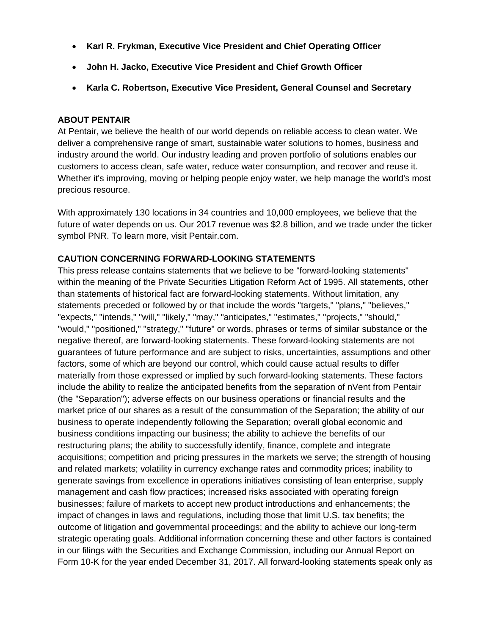- **Karl R. Frykman, Executive Vice President and Chief Operating Officer**
- **John H. Jacko, Executive Vice President and Chief Growth Officer**
- **Karla C. Robertson, Executive Vice President, General Counsel and Secretary**

## **ABOUT PENTAIR**

At Pentair, we believe the health of our world depends on reliable access to clean water. We deliver a comprehensive range of smart, sustainable water solutions to homes, business and industry around the world. Our industry leading and proven portfolio of solutions enables our customers to access clean, safe water, reduce water consumption, and recover and reuse it. Whether it's improving, moving or helping people enjoy water, we help manage the world's most precious resource.

With approximately 130 locations in 34 countries and 10,000 employees, we believe that the future of water depends on us. Our 2017 revenue was \$2.8 billion, and we trade under the ticker symbol PNR. To learn more, visit Pentair.com.

## **CAUTION CONCERNING FORWARD-LOOKING STATEMENTS**

This press release contains statements that we believe to be "forward-looking statements" within the meaning of the Private Securities Litigation Reform Act of 1995. All statements, other than statements of historical fact are forward-looking statements. Without limitation, any statements preceded or followed by or that include the words "targets," "plans," "believes," "expects," "intends," "will," "likely," "may," "anticipates," "estimates," "projects," "should," "would," "positioned," "strategy," "future" or words, phrases or terms of similar substance or the negative thereof, are forward-looking statements. These forward-looking statements are not guarantees of future performance and are subject to risks, uncertainties, assumptions and other factors, some of which are beyond our control, which could cause actual results to differ materially from those expressed or implied by such forward-looking statements. These factors include the ability to realize the anticipated benefits from the separation of nVent from Pentair (the "Separation"); adverse effects on our business operations or financial results and the market price of our shares as a result of the consummation of the Separation; the ability of our business to operate independently following the Separation; overall global economic and business conditions impacting our business; the ability to achieve the benefits of our restructuring plans; the ability to successfully identify, finance, complete and integrate acquisitions; competition and pricing pressures in the markets we serve; the strength of housing and related markets; volatility in currency exchange rates and commodity prices; inability to generate savings from excellence in operations initiatives consisting of lean enterprise, supply management and cash flow practices; increased risks associated with operating foreign businesses; failure of markets to accept new product introductions and enhancements; the impact of changes in laws and regulations, including those that limit U.S. tax benefits; the outcome of litigation and governmental proceedings; and the ability to achieve our long-term strategic operating goals. Additional information concerning these and other factors is contained in our filings with the Securities and Exchange Commission, including our Annual Report on Form 10-K for the year ended December 31, 2017. All forward-looking statements speak only as